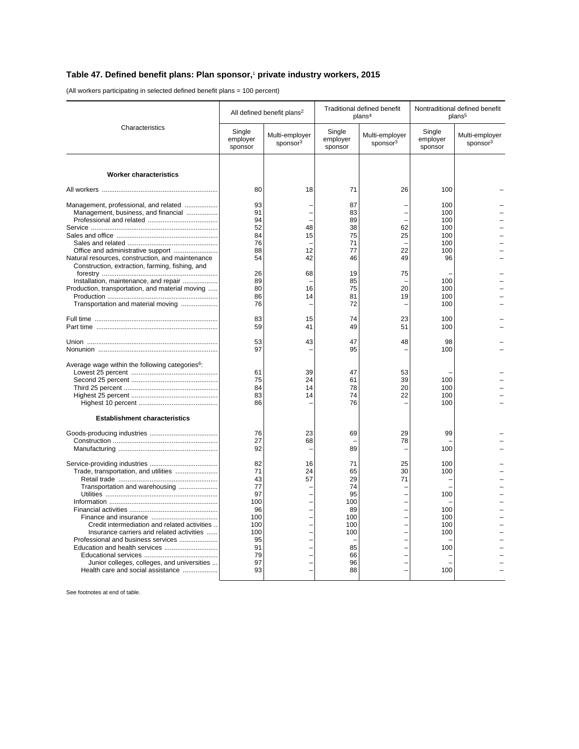## **Table 47. Defined benefit plans: Plan sponsor,**<sup>1</sup>  **private industry workers, 2015**

(All workers participating in selected defined benefit plans = 100 percent)

| Characteristics                                                                                                                                                                                                                                                                                                                | All defined benefit plans <sup>2</sup>                                                     |                                        | Traditional defined benefit<br>plans <sup>4</sup>                                    |                                        | Nontraditional defined benefit<br>plans <sup>5</sup>        |                                        |
|--------------------------------------------------------------------------------------------------------------------------------------------------------------------------------------------------------------------------------------------------------------------------------------------------------------------------------|--------------------------------------------------------------------------------------------|----------------------------------------|--------------------------------------------------------------------------------------|----------------------------------------|-------------------------------------------------------------|----------------------------------------|
|                                                                                                                                                                                                                                                                                                                                | Single<br>employer<br>sponsor                                                              | Multi-employer<br>sponsor <sup>3</sup> | Single<br>employer<br>sponsor                                                        | Multi-employer<br>sponsor <sup>3</sup> | Single<br>employer<br>sponsor                               | Multi-employer<br>sponsor <sup>3</sup> |
| <b>Worker characteristics</b>                                                                                                                                                                                                                                                                                                  |                                                                                            |                                        |                                                                                      |                                        |                                                             |                                        |
|                                                                                                                                                                                                                                                                                                                                | 80                                                                                         | 18                                     | 71                                                                                   | 26                                     | 100                                                         |                                        |
| Management, professional, and related<br>Management, business, and financial<br>Natural resources, construction, and maintenance                                                                                                                                                                                               | 93<br>91<br>94<br>52<br>84<br>76<br>88<br>54                                               | 48<br>15<br>12<br>42                   | 87<br>83<br>89<br>38<br>75<br>71<br>77<br>46                                         | 62<br>25<br>22<br>49                   | 100<br>100<br>100<br>100<br>100<br>100<br>100<br>96         |                                        |
| Construction, extraction, farming, fishing, and<br>Installation, maintenance, and repair                                                                                                                                                                                                                                       | 26<br>89                                                                                   | 68                                     | 19<br>85                                                                             | 75                                     | 100                                                         |                                        |
| Production, transportation, and material moving<br>Transportation and material moving                                                                                                                                                                                                                                          | 80<br>86<br>76                                                                             | 16<br>14                               | 75<br>81<br>72                                                                       | 20<br>19                               | 100<br>100<br>100                                           |                                        |
|                                                                                                                                                                                                                                                                                                                                | 83<br>59                                                                                   | 15<br>41                               | 74<br>49                                                                             | 23<br>51                               | 100<br>100                                                  |                                        |
|                                                                                                                                                                                                                                                                                                                                | 53<br>97                                                                                   | 43                                     | 47<br>95                                                                             | 48                                     | 98<br>100                                                   |                                        |
| Average wage within the following categories <sup>6</sup> :                                                                                                                                                                                                                                                                    | 61<br>75<br>84<br>83<br>86                                                                 | 39<br>24<br>14<br>14                   | 47<br>61<br>78<br>74<br>76                                                           | 53<br>39<br>20<br>22                   | 100<br>100<br>100<br>100                                    |                                        |
| <b>Establishment characteristics</b>                                                                                                                                                                                                                                                                                           |                                                                                            |                                        |                                                                                      |                                        |                                                             |                                        |
|                                                                                                                                                                                                                                                                                                                                | 76<br>27<br>92                                                                             | 23<br>68                               | 69<br>89                                                                             | 29<br>78                               | 99<br>100                                                   |                                        |
| Trade, transportation, and utilities<br>Transportation and warehousing<br>Credit intermediation and related activities<br>Insurance carriers and related activities<br>Professional and business services<br>Education and health services<br>Junior colleges, colleges, and universities<br>Health care and social assistance | 82<br>71<br>43<br>77<br>97<br>100<br>96<br>100<br>100<br>100<br>95<br>91<br>79<br>97<br>93 | 16<br>24<br>57                         | 71<br>65<br>29<br>74<br>95<br>100<br>89<br>100<br>100<br>100<br>85<br>66<br>96<br>88 | 25<br>30<br>71                         | 100<br>100<br>100<br>100<br>100<br>100<br>100<br>100<br>100 |                                        |

See footnotes at end of table.